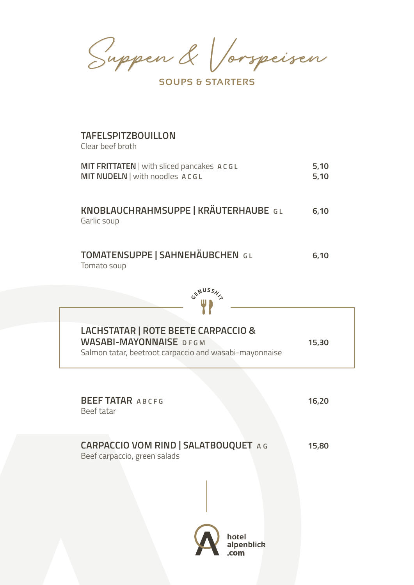Suppen & Vorspeisen

**SOUPS & STARTERS** 

### **TAFELSPITZBOUILLON**

Clear beef broth

Garlic soup

| MIT FRITTATEN   with sliced pancakes ACGL | 5,10 |
|-------------------------------------------|------|
| MIT NUDELN   with noodles ACGL            | 5.10 |
|                                           |      |
|                                           |      |
|                                           |      |
| KNOBLAUCHRAHMSUPPE   KRÄUTERHAUBE GL      | 6.10 |

| TOMATENSUPPE   SAHNEHÄUBCHEN GL | 6.10 |
|---------------------------------|------|
| Tomato soup                     |      |



| LACHSTATAR   ROTE BEETE CARPACCIO &<br><b>WASABI-MAYONNAISE DFGM</b><br>Salmon tatar, beetroot carpaccio and wasabi-mayonnaise | 15,30 |
|--------------------------------------------------------------------------------------------------------------------------------|-------|
| <b>BEEF TATAR ABCFG</b><br>Beef tatar                                                                                          | 16,20 |
| <b>CARPACCIO VOM RIND   SALATBOUQUET A G</b><br>Beef carpaccio, green salads<br>hotel<br>alpenblick<br>com                     | 15,80 |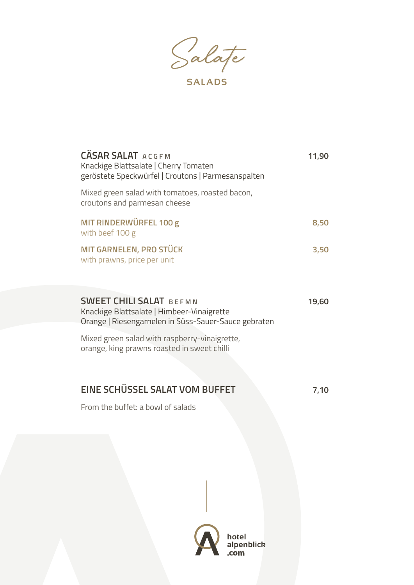Salate

**SALADS**

| <b>CÄSAR SALAT ACGEM</b><br>Knackige Blattsalate   Cherry Tomaten<br>geröstete Speckwürfel   Croutons   Parmesanspalten              | 11,90 |
|--------------------------------------------------------------------------------------------------------------------------------------|-------|
| Mixed green salad with tomatoes, roasted bacon,<br>croutons and parmesan cheese                                                      |       |
| MIT RINDERWÜRFEL 100 g<br>with beef 100 g                                                                                            | 8,50  |
| <b>MIT GARNELEN, PRO STÜCK</b><br>with prawns, price per unit                                                                        | 3,50  |
| <b>SWEET CHILI SALAT BEFMN</b><br>Knackige Blattsalate   Himbeer-Vinaigrette<br>Orange   Riesengarnelen in Süss-Sauer-Sauce gebraten | 19,60 |
| Mixed green salad with raspberry-vinaigrette,<br>orange, king prawns roasted in sweet chilli                                         |       |
| EINE SCHÜSSEL SALAT VOM BUFFET                                                                                                       | 7,10  |

From the buffet: a bowl of salads

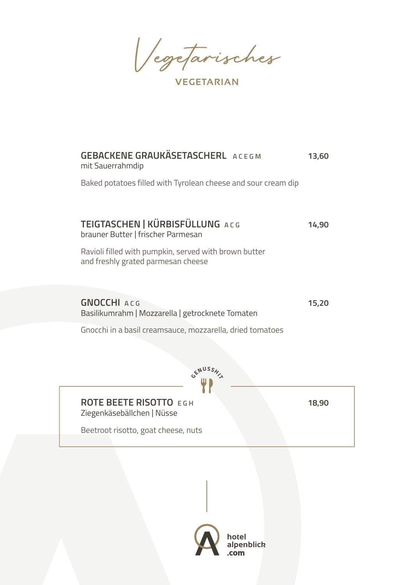Vegetarisches

**VEGETARIAN**

| <b>GEBACKENE GRAUKÄSETASCHERL ACEGM</b><br>mit Sauerrahmdip                                 | 13,60 |
|---------------------------------------------------------------------------------------------|-------|
| Baked potatoes filled with Tyrolean cheese and sour cream dip                               |       |
| TEIGTASCHEN   KÜRBISFÜLLUNG ACG<br>brauner Butter   frischer Parmesan                       | 14,90 |
| Ravioli filled with pumpkin, served with brown butter<br>and freshly grated parmesan cheese |       |
| <b>GNOCCHI ACG</b><br>Basilikumrahm   Mozzarella   getrocknete Tomaten                      | 15,20 |
| Gnocchi in a basil creamsauce, mozzarella, dried tomatoes                                   |       |
|                                                                                             |       |
| <b>ROTE BEETE RISOTTO EGH</b><br>Ziegenkäsebällchen   Nüsse                                 | 18,90 |
| Beetroot risotto, goat cheese, nuts                                                         |       |
|                                                                                             |       |
|                                                                                             |       |
|                                                                                             |       |

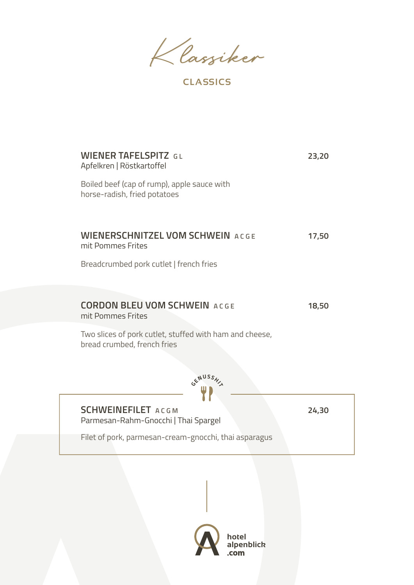Klassiker

**CLASSICS** 

| <b>WIENER TAFELSPITZ GL</b><br>Apfelkren   Röstkartoffel                               | 23,20 |
|----------------------------------------------------------------------------------------|-------|
| Boiled beef (cap of rump), apple sauce with<br>horse-radish, fried potatoes            |       |
|                                                                                        |       |
| <b>WIENERSCHNITZEL VOM SCHWEIN ACGE</b><br>mit Pommes Frites                           | 17,50 |
| Breadcrumbed pork cutlet   french fries                                                |       |
|                                                                                        |       |
| <b>CORDON BLEU VOM SCHWEIN ACGE</b><br>mit Pommes Frites                               | 18,50 |
| Two slices of pork cutlet, stuffed with ham and cheese,<br>bread crumbed, french fries |       |
|                                                                                        |       |
|                                                                                        |       |
|                                                                                        |       |
| <b>SCHWEINEFILET ACGM</b><br>Parmesan-Rahm-Gnocchi   Thai Spargel                      | 24,30 |
| Filet of pork, parmesan-cream-gnocchi, thai asparagus                                  |       |

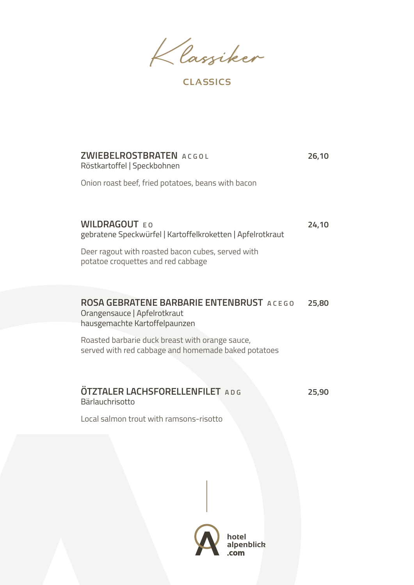Klassiker

**CLASSICS** 

| <b>ZWIEBELROSTBRATEN ACGOL</b><br>Röstkartoffel   Speckbohnen                                                    | 26,10 |
|------------------------------------------------------------------------------------------------------------------|-------|
| Onion roast beef, fried potatoes, beans with bacon                                                               |       |
|                                                                                                                  |       |
| <b>WILDRAGOUT EQ</b><br>gebratene Speckwürfel   Kartoffelkroketten   Apfelrotkraut                               | 24,10 |
| Deer ragout with roasted bacon cubes, served with<br>potatoe croquettes and red cabbage                          |       |
|                                                                                                                  |       |
| <b>ROSA GEBRATENE BARBARIE ENTENBRUST ACEGO</b><br>Orangensauce   Apfelrotkraut<br>hausgemachte Kartoffelpaunzen | 25,80 |
| Roasted barbarie duck breast with orange sauce,<br>served with red cabbage and homemade baked potatoes           |       |
|                                                                                                                  |       |
| <b>OTZTALER LACHSFORELLENFILET</b> ADG<br>Bärlauchrisotto                                                        | 25,90 |
| Local salmon trout with ramsons-risotto                                                                          |       |
|                                                                                                                  |       |

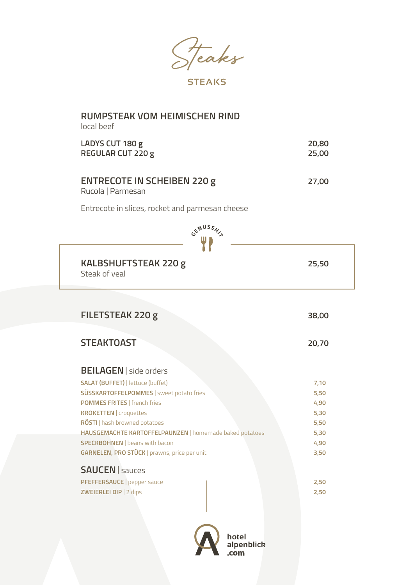Steaks

**STEAKS**

#### **RUMPSTEAK VOM HEIMISCHEN RIND**  local beef

| LADYS CUT 180 g          | 20,80 |
|--------------------------|-------|
| <b>REGULAR CUT 220 g</b> | 25,00 |
|                          |       |
|                          |       |

### **ENTRECOTE IN SCHEIBEN 220 g 27,00** Rucola | Parmesan

Entrecote in slices, rocket and parmesan cheese



| <b>KALBSHUFTSTEAK 220 g</b> | 25,50 |
|-----------------------------|-------|
| Steak of yeal               |       |

| FILETSTEAK 220 g                                        | 38,00 |
|---------------------------------------------------------|-------|
| <b>STEAKTOAST</b>                                       | 20,70 |
| <b>BEILAGEN</b>   side orders                           |       |
| <b>SALAT (BUFFET)   lettuce (buffet)</b>                | 7,10  |
| SÜSSKARTOFFELPOMMES   sweet potato fries                | 5,50  |
| <b>POMMES FRITES   french fries</b>                     | 4,90  |
| <b>KROKETTEN</b>   croquettes                           | 5,30  |
| RÖSTI   hash browned potatoes                           | 5,50  |
| HAUSGEMACHTE KARTOFFELPAUNZEN   homemade baked potatoes | 5,30  |
| <b>SPECKBOHNEN</b>   beans with bacon                   | 4,90  |
| GARNELEN, PRO STÜCK   prawns, price per unit            | 3,50  |
| <b>SAUCEN</b>   sauces                                  |       |
| PFEFFERSAUCE   pepper sauce                             | 2,50  |
| ZWEIERLEI DIP   2 dips                                  | 2,50  |
|                                                         |       |

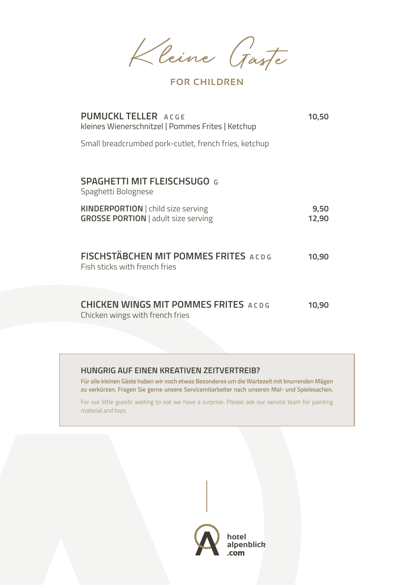Kleine Gäste

**FOR CHILDREN**

| <b>PUMUCKL TELLER</b> ACGE<br>kleines Wienerschnitzel   Pommes Frites   Ketchup  | 10,50         |
|----------------------------------------------------------------------------------|---------------|
| Small breadcrumbed pork-cutlet, french fries, ketchup                            |               |
|                                                                                  |               |
| <b>SPAGHETTI MIT FLEISCHSUGO G</b><br>Spaghetti Bolognese                        |               |
| KINDERPORTION   child size serving<br><b>GROSSE PORTION</b>   adult size serving | 9,50<br>12,90 |
| <b>FISCHSTÄBCHEN MIT POMMES FRITES ACDG</b><br>Fish sticks with french fries     | 10,90         |
| <b>CHICKEN WINGS MIT POMMES FRITES ACDG</b><br>Chicken wings with french fries   | 10,90         |

#### **HUNGRIG AUF EINEN KREATIVEN ZEITVERTREIB?**

**Für alle kleinen Gäste haben wir noch etwas Besonderes um die Wartezeit mit knurrenden Mägen zu verkürzen. Fragen Sie gerne unsere Servicemitarbeiter nach unseren Mal- und Spielesachen.** 

For our little guests waiting to eat we have a surprise. Please ask our service team for painting material and toys.

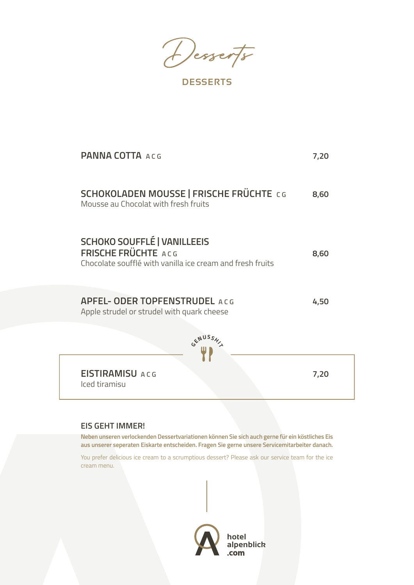Desserts

**DESSERTS**

| <b>PANNA COTTA ACG</b>                                                                                                 | 7,20 |
|------------------------------------------------------------------------------------------------------------------------|------|
| <b>SCHOKOLADEN MOUSSE   FRISCHE FRÜCHTE CG</b><br>Mousse au Chocolat with fresh fruits                                 | 8,60 |
| <b>SCHOKO SOUFFLÉ   VANILLEEIS</b><br>FRISCHE FRÜCHTE ACG<br>Chocolate soufflé with vanilla ice cream and fresh fruits | 8,60 |
| <b>APFEL- ODER TOPFENSTRUDEL ACG</b><br>Apple strudel or strudel with quark cheese                                     | 4,50 |
|                                                                                                                        |      |
| <b>EISTIRAMISU ACG</b><br>Iced tiramisu                                                                                | 7,20 |

#### **EIS GEHT IMMER!**

**Neben unseren verlockenden Dessertvariationen können Sie sich auch gerne für ein köstliches Eis aus unserer seperaten Eiskarte entscheiden. Fragen Sie gerne unsere Servicemitarbeiter danach.**

You prefer delicious ice cream to a scrumptious dessert? Please ask our service team for the ice cream menu.

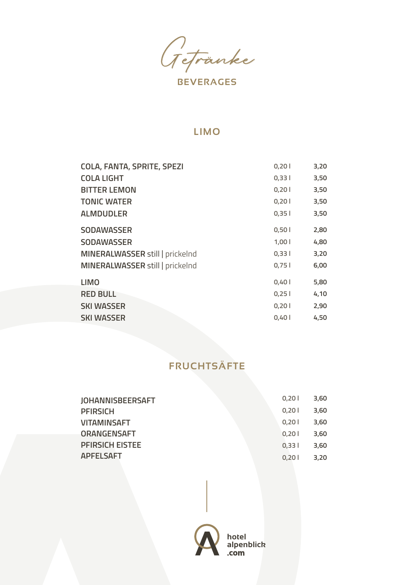Getränke

**BEVERAGES**

#### **LIMO**

| <b>COLA, FANTA, SPRITE, SPEZI</b> | 0,201 | 3,20 |
|-----------------------------------|-------|------|
| <b>COLA LIGHT</b>                 | 0,331 | 3,50 |
| <b>BITTER LEMON</b>               | 0,201 | 3,50 |
| <b>TONIC WATER</b>                | 0,201 | 3,50 |
| <b>ALMDUDLER</b>                  | 0,351 | 3,50 |
| <b>SODAWASSER</b>                 | 0,501 | 2,80 |
| <b>SODAWASSER</b>                 | 1,001 | 4,80 |
| MINERALWASSER still   prickelnd   | 0,331 | 3,20 |
| MINERALWASSER still   prickelnd   | 0,751 | 6,00 |
| <b>LIMO</b>                       | 0,401 | 5,80 |
| <b>RED BULL</b>                   | 0,25  | 4,10 |
| <b>SKI WASSER</b>                 | 0,201 | 2,90 |
| <b>SKI WASSER</b>                 | 0,401 | 4,50 |

## **FRUCHTSÄFTE**

| <b>JOHANNISBEERSAFT</b> | 0.201 | 3,60 |
|-------------------------|-------|------|
| <b>PFIRSICH</b>         | 0.201 | 3,60 |
| <b>VITAMINSAFT</b>      | 0.201 | 3,60 |
| <b>ORANGENSAFT</b>      | 0.201 | 3,60 |
| <b>PFIRSICH EISTEE</b>  | 0.331 | 3,60 |
| <b>APFELSAFT</b>        | 0.201 | 3.20 |

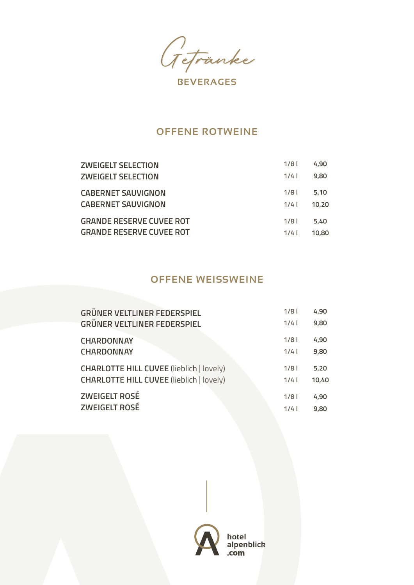Getränke

#### **OFFENE ROTWEINE**

| <b>ZWEIGELT SELECTION</b>       | 1/8 | 4,90  |
|---------------------------------|-----|-------|
| <b>ZWEIGELT SELECTION</b>       | 1/4 | 9,80  |
| <b>CABERNET SAUVIGNON</b>       | 1/8 | 5.10  |
| <b>CABERNET SAUVIGNON</b>       | 1/4 | 10.20 |
| <b>GRANDE RESERVE CUVEE ROT</b> | 1/8 | 5,40  |
| <b>GRANDE RESERVE CUVEE ROT</b> | 1/4 | 10.80 |

### **OFFENE WEISSWEINE**

| <b>GRÜNER VELTLINER FEDERSPIEL</b>              | 1/8 | 4,90  |
|-------------------------------------------------|-----|-------|
| <b>GRÜNER VELTLINER FEDERSPIEL</b>              | 1/4 | 9,80  |
| <b>CHARDONNAY</b>                               | 1/8 | 4,90  |
| <b>CHARDONNAY</b>                               | 1/4 | 9,80  |
| <b>CHARLOTTE HILL CUVEE (lieblich   lovely)</b> | 1/8 | 5,20  |
| <b>CHARLOTTE HILL CUVEE (lieblich   lovely)</b> | 1/4 | 10,40 |
| <b>ZWEIGELT ROSÉ</b>                            | 1/8 | 4,90  |
| <b>ZWEIGELT ROSÉ</b>                            | 1/4 | 9,80  |

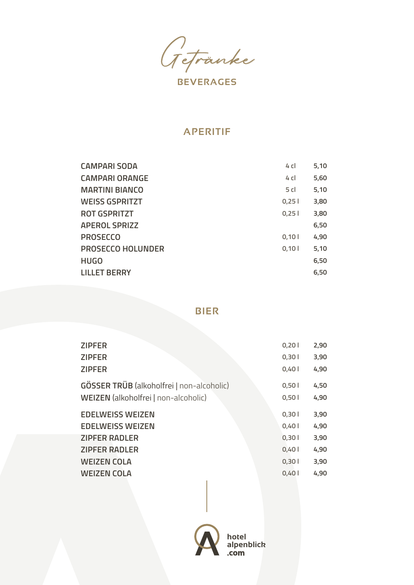Getränke

#### **APERITIF**

| <b>CAMPARI SODA</b>      | 4 cl            | 5,10 |
|--------------------------|-----------------|------|
| <b>CAMPARI ORANGE</b>    | $4$ cl          | 5,60 |
| <b>MARTINI BIANCO</b>    | 5 <sub>cl</sub> | 5,10 |
| <b>WEISS GSPRITZT</b>    | 0,25            | 3,80 |
| <b>ROT GSPRITZT</b>      | 0.251           | 3,80 |
| <b>APEROL SPRIZZ</b>     |                 | 6,50 |
| <b>PROSECCO</b>          | 0.101           | 4,90 |
| <b>PROSECCO HOLUNDER</b> | 0,101           | 5,10 |
| <b>HUGO</b>              |                 | 6,50 |
| LILLET BERRY             |                 | 6,50 |

**BIER**

| <b>ZIPFER</b>                                    | 0,201 | 2,90 |
|--------------------------------------------------|-------|------|
| <b>ZIPFER</b>                                    | 0,301 | 3,90 |
| <b>ZIPFER</b>                                    | 0,401 | 4,90 |
| <b>GÖSSER TRÜB</b> (alkoholfrei   non-alcoholic) | 0,501 | 4,50 |
| WEIZEN (alkoholfrei   non-alcoholic)             | 0,501 | 4,90 |
| <b>EDELWEISS WEIZEN</b>                          | 0,301 | 3,90 |
| <b>EDELWEISS WEIZEN</b>                          | 0,401 | 4,90 |
| <b>ZIPFER RADLER</b>                             | 0,301 | 3,90 |
| <b>ZIPFER RADLER</b>                             | 0,401 | 4,90 |
| <b>WEIZEN COLA</b>                               | 0,301 | 3,90 |
| <b>WEIZEN COLA</b>                               | 0,40  | 4,90 |
|                                                  |       |      |

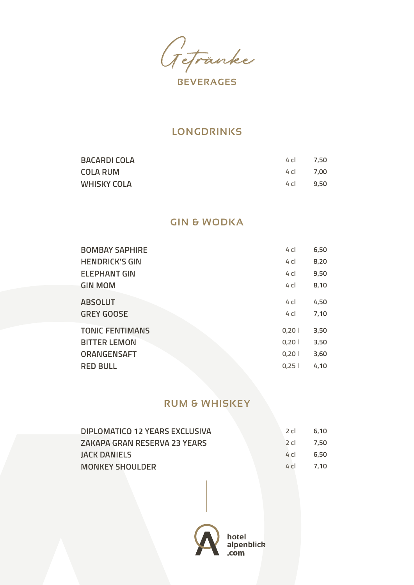Getränke

#### **LONGDRINKS**

| <b>BACARDI COLA</b> | 4 CI      | 7.50 |
|---------------------|-----------|------|
| <b>COLA RUM</b>     | 4 cl 7.00 |      |
| <b>WHISKY COLA</b>  | 4 CL      | 9.50 |

#### **GIN & WODKA**

| <b>BOMBAY SAPHIRE</b>  | $4$ c | 6,50 |
|------------------------|-------|------|
| <b>HENDRICK'S GIN</b>  | $4$ c | 8,20 |
| <b>ELEPHANT GIN</b>    | $4$ c | 9,50 |
| <b>GIN MOM</b>         | $4$ c | 8,10 |
| <b>ABSOLUT</b>         | $4$ c | 4,50 |
| <b>GREY GOOSE</b>      | $4$ c | 7,10 |
| <b>TONIC FENTIMANS</b> | 0,201 | 3,50 |
| <b>BITTER LEMON</b>    | 0,201 | 3,50 |
| <b>ORANGENSAFT</b>     | 0,201 | 3,60 |
| <b>RED BULL</b>        | 0,251 | 4,10 |
|                        |       |      |

#### **RUM & WHISKEY**

| DIPLOMATICO 12 YEARS EXCLUSIVA | 2 cl | 6.10      |
|--------------------------------|------|-----------|
| ZAKAPA GRAN RESERVA 23 YEARS   | 2 cl | 7.50      |
| JACK DANIELS                   | 4 CL | 6.50      |
| <b>MONKEY SHOULDER</b>         |      | 4 cl 7.10 |

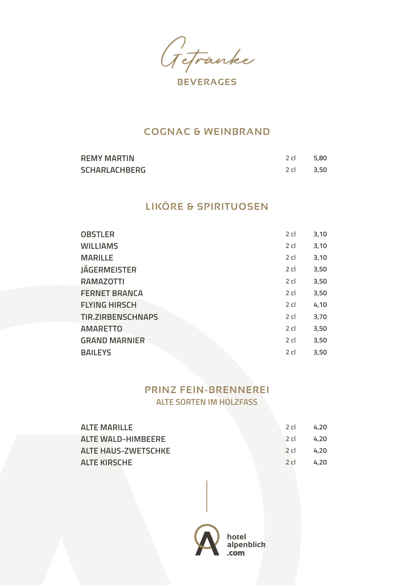Getränke

#### **COGNAC & WEINBRAND**

| <b>REMY MARTIN</b>   | 2 cl      | 5.80 |
|----------------------|-----------|------|
| <b>SCHARLACHBERG</b> | 2 cl 3.50 |      |

## **LIKÖRE & SPIRITUOSEN**

| <b>OBSTLER</b>           | $2$ cl | 3,10 |
|--------------------------|--------|------|
| <b>WILLIAMS</b>          | $2$ cl | 3,10 |
| <b>MARILLE</b>           | $2$ cl | 3,10 |
| <b>JÄGERMEISTER</b>      | $2$ cl | 3,50 |
| <b>RAMAZOTTI</b>         | $2$ cl | 3,50 |
| <b>FERNET BRANCA</b>     | $2$ cl | 3,50 |
| <b>FLYING HIRSCH</b>     | $2$ cl | 4,10 |
| <b>TIR.ZIRBENSCHNAPS</b> | $2$ cl | 3,70 |
| <b>AMARETTO</b>          | $2$ cl | 3,50 |
| <b>GRAND MARNIER</b>     | $2$ cl | 3,50 |
| <b>BAILEYS</b>           | $2$ cl | 3,50 |

### **PRINZ FEIN-BRENNEREI ALTE SORTEN IM HOLZFASS**

| ALTE MARILLE               | $2$ cl | 4.20 |
|----------------------------|--------|------|
| <b>ALTE WALD-HIMBEERE</b>  | ⊥2 cl  | 4.20 |
| <b>ALTE HAUS-ZWETSCHKE</b> | 2 cl   | 4.20 |
| <b>ALTE KIRSCHE</b>        | $2$ cl | 4.20 |